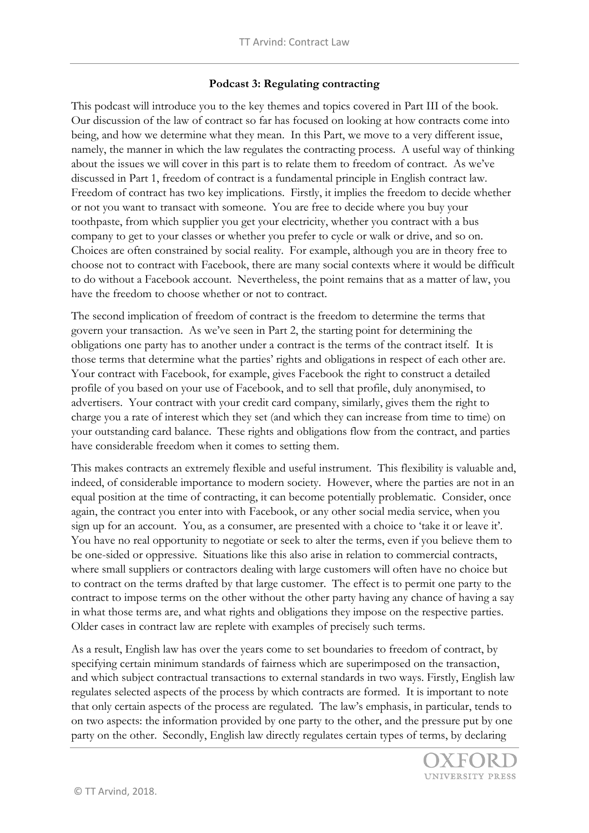## **Podcast 3: Regulating contracting**

This podcast will introduce you to the key themes and topics covered in Part III of the book. Our discussion of the law of contract so far has focused on looking at how contracts come into being, and how we determine what they mean. In this Part, we move to a very different issue, namely, the manner in which the law regulates the contracting process. A useful way of thinking about the issues we will cover in this part is to relate them to freedom of contract. As we've discussed in Part 1, freedom of contract is a fundamental principle in English contract law. Freedom of contract has two key implications. Firstly, it implies the freedom to decide whether or not you want to transact with someone. You are free to decide where you buy your toothpaste, from which supplier you get your electricity, whether you contract with a bus company to get to your classes or whether you prefer to cycle or walk or drive, and so on. Choices are often constrained by social reality. For example, although you are in theory free to choose not to contract with Facebook, there are many social contexts where it would be difficult to do without a Facebook account. Nevertheless, the point remains that as a matter of law, you have the freedom to choose whether or not to contract.

The second implication of freedom of contract is the freedom to determine the terms that govern your transaction. As we've seen in Part 2, the starting point for determining the obligations one party has to another under a contract is the terms of the contract itself. It is those terms that determine what the parties' rights and obligations in respect of each other are. Your contract with Facebook, for example, gives Facebook the right to construct a detailed profile of you based on your use of Facebook, and to sell that profile, duly anonymised, to advertisers. Your contract with your credit card company, similarly, gives them the right to charge you a rate of interest which they set (and which they can increase from time to time) on your outstanding card balance. These rights and obligations flow from the contract, and parties have considerable freedom when it comes to setting them.

This makes contracts an extremely flexible and useful instrument. This flexibility is valuable and, indeed, of considerable importance to modern society. However, where the parties are not in an equal position at the time of contracting, it can become potentially problematic. Consider, once again, the contract you enter into with Facebook, or any other social media service, when you sign up for an account. You, as a consumer, are presented with a choice to 'take it or leave it'. You have no real opportunity to negotiate or seek to alter the terms, even if you believe them to be one-sided or oppressive. Situations like this also arise in relation to commercial contracts, where small suppliers or contractors dealing with large customers will often have no choice but to contract on the terms drafted by that large customer. The effect is to permit one party to the contract to impose terms on the other without the other party having any chance of having a say in what those terms are, and what rights and obligations they impose on the respective parties. Older cases in contract law are replete with examples of precisely such terms.

As a result, English law has over the years come to set boundaries to freedom of contract, by specifying certain minimum standards of fairness which are superimposed on the transaction, and which subject contractual transactions to external standards in two ways. Firstly, English law regulates selected aspects of the process by which contracts are formed. It is important to note that only certain aspects of the process are regulated. The law's emphasis, in particular, tends to on two aspects: the information provided by one party to the other, and the pressure put by one party on the other. Secondly, English law directly regulates certain types of terms, by declaring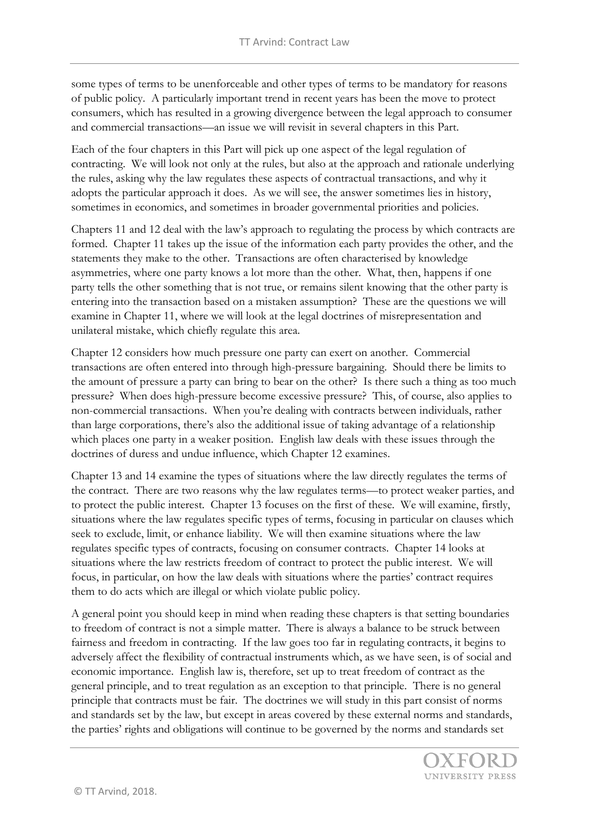some types of terms to be unenforceable and other types of terms to be mandatory for reasons of public policy. A particularly important trend in recent years has been the move to protect consumers, which has resulted in a growing divergence between the legal approach to consumer and commercial transactions—an issue we will revisit in several chapters in this Part.

Each of the four chapters in this Part will pick up one aspect of the legal regulation of contracting. We will look not only at the rules, but also at the approach and rationale underlying the rules, asking why the law regulates these aspects of contractual transactions, and why it adopts the particular approach it does. As we will see, the answer sometimes lies in history, sometimes in economics, and sometimes in broader governmental priorities and policies.

Chapters 11 and 12 deal with the law's approach to regulating the process by which contracts are formed. Chapter 11 takes up the issue of the information each party provides the other, and the statements they make to the other. Transactions are often characterised by knowledge asymmetries, where one party knows a lot more than the other. What, then, happens if one party tells the other something that is not true, or remains silent knowing that the other party is entering into the transaction based on a mistaken assumption? These are the questions we will examine in Chapter 11, where we will look at the legal doctrines of misrepresentation and unilateral mistake, which chiefly regulate this area.

Chapter 12 considers how much pressure one party can exert on another. Commercial transactions are often entered into through high-pressure bargaining. Should there be limits to the amount of pressure a party can bring to bear on the other? Is there such a thing as too much pressure? When does high-pressure become excessive pressure? This, of course, also applies to non-commercial transactions. When you're dealing with contracts between individuals, rather than large corporations, there's also the additional issue of taking advantage of a relationship which places one party in a weaker position. English law deals with these issues through the doctrines of duress and undue influence, which Chapter 12 examines.

Chapter 13 and 14 examine the types of situations where the law directly regulates the terms of the contract. There are two reasons why the law regulates terms—to protect weaker parties, and to protect the public interest. Chapter 13 focuses on the first of these. We will examine, firstly, situations where the law regulates specific types of terms, focusing in particular on clauses which seek to exclude, limit, or enhance liability. We will then examine situations where the law regulates specific types of contracts, focusing on consumer contracts. Chapter 14 looks at situations where the law restricts freedom of contract to protect the public interest. We will focus, in particular, on how the law deals with situations where the parties' contract requires them to do acts which are illegal or which violate public policy.

A general point you should keep in mind when reading these chapters is that setting boundaries to freedom of contract is not a simple matter. There is always a balance to be struck between fairness and freedom in contracting. If the law goes too far in regulating contracts, it begins to adversely affect the flexibility of contractual instruments which, as we have seen, is of social and economic importance. English law is, therefore, set up to treat freedom of contract as the general principle, and to treat regulation as an exception to that principle. There is no general principle that contracts must be fair. The doctrines we will study in this part consist of norms and standards set by the law, but except in areas covered by these external norms and standards, the parties' rights and obligations will continue to be governed by the norms and standards set